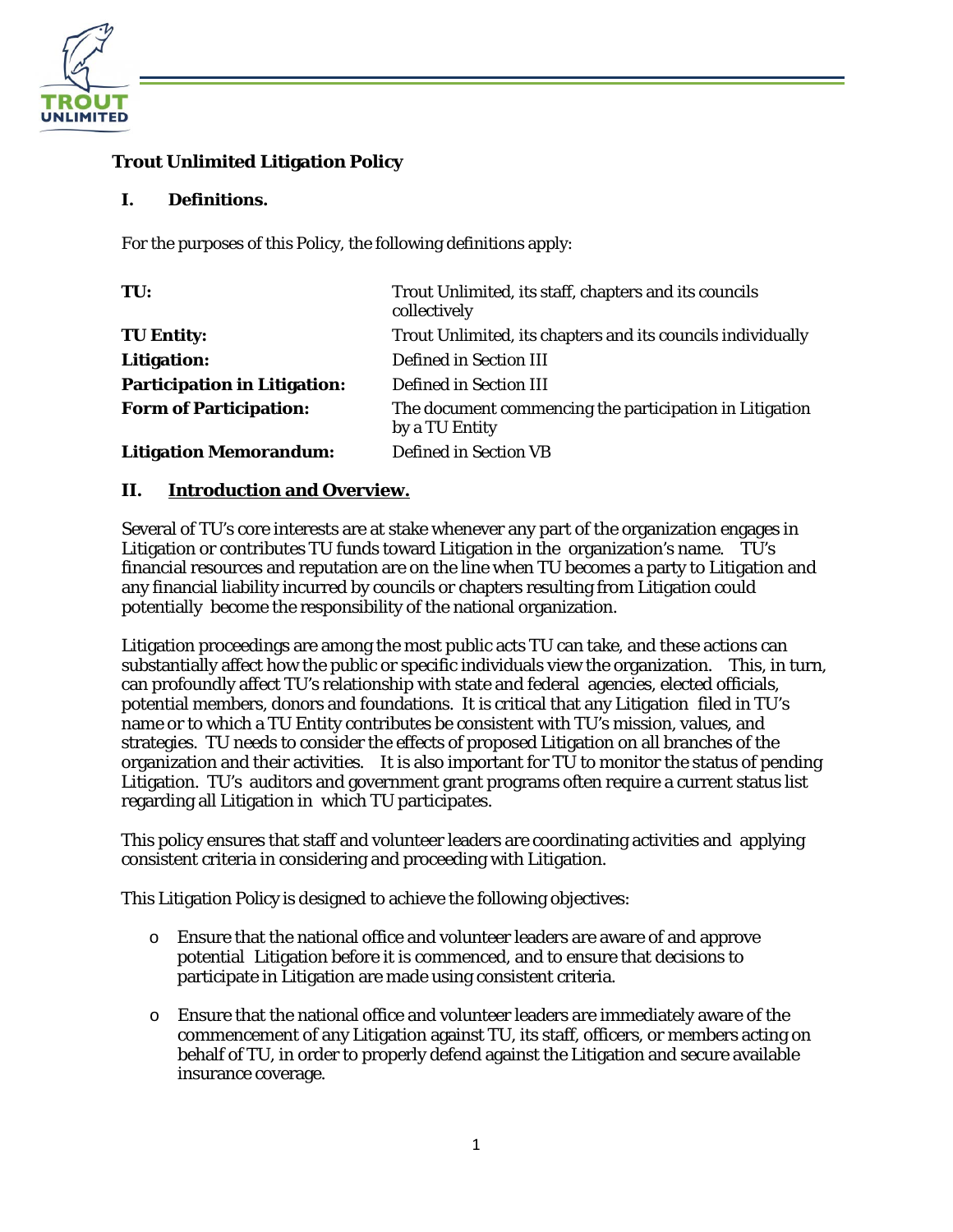

# **Trout Unlimited Litigation Policy**

### **I. Definitions.**

For the purposes of this Policy, the following definitions apply:

| TU:                                 | Trout Unlimited, its staff, chapters and its councils<br>collectively     |
|-------------------------------------|---------------------------------------------------------------------------|
| <b>TU Entity:</b>                   | Trout Unlimited, its chapters and its councils individually               |
| <b>Litigation:</b>                  | Defined in Section III                                                    |
| <b>Participation in Litigation:</b> | Defined in Section III                                                    |
| <b>Form of Participation:</b>       | The document commencing the participation in Litigation<br>by a TU Entity |
| <b>Litigation Memorandum:</b>       | Defined in Section VB                                                     |

### **II. Introduction and Overview.**

Several of TU's core interests are at stake whenever any part of the organization engages in Litigation or contributes TU funds toward Litigation in the organization's name. TU's financial resources and reputation are on the line when TU becomes a party to Litigation and any financial liability incurred by councils or chapters resulting from Litigation could potentially become the responsibility of the national organization.

Litigation proceedings are among the most public acts TU can take, and these actions can substantially affect how the public or specific individuals view the organization. This, in turn, can profoundly affect TU's relationship with state and federal agencies, elected officials, potential members, donors and foundations. It is critical that any Litigation filed in TU's name or to which a TU Entity contributes be consistent with TU's mission, values, and strategies. TU needs to consider the effects of proposed Litigation on all branches of the organization and their activities. It is also important for TU to monitor the status of pending Litigation. TU's auditors and government grant programs often require a current status list regarding all Litigation in which TU participates.

This policy ensures that staff and volunteer leaders are coordinating activities and applying consistent criteria in considering and proceeding with Litigation.

This Litigation Policy is designed to achieve the following objectives:

- o Ensure that the national office and volunteer leaders are aware of and approve potential Litigation before it is commenced, and to ensure that decisions to participate in Litigation are made using consistent criteria.
- o Ensure that the national office and volunteer leaders are immediately aware of the commencement of any Litigation against TU, its staff, officers, or members acting on behalf of TU, in order to properly defend against the Litigation and secure available insurance coverage.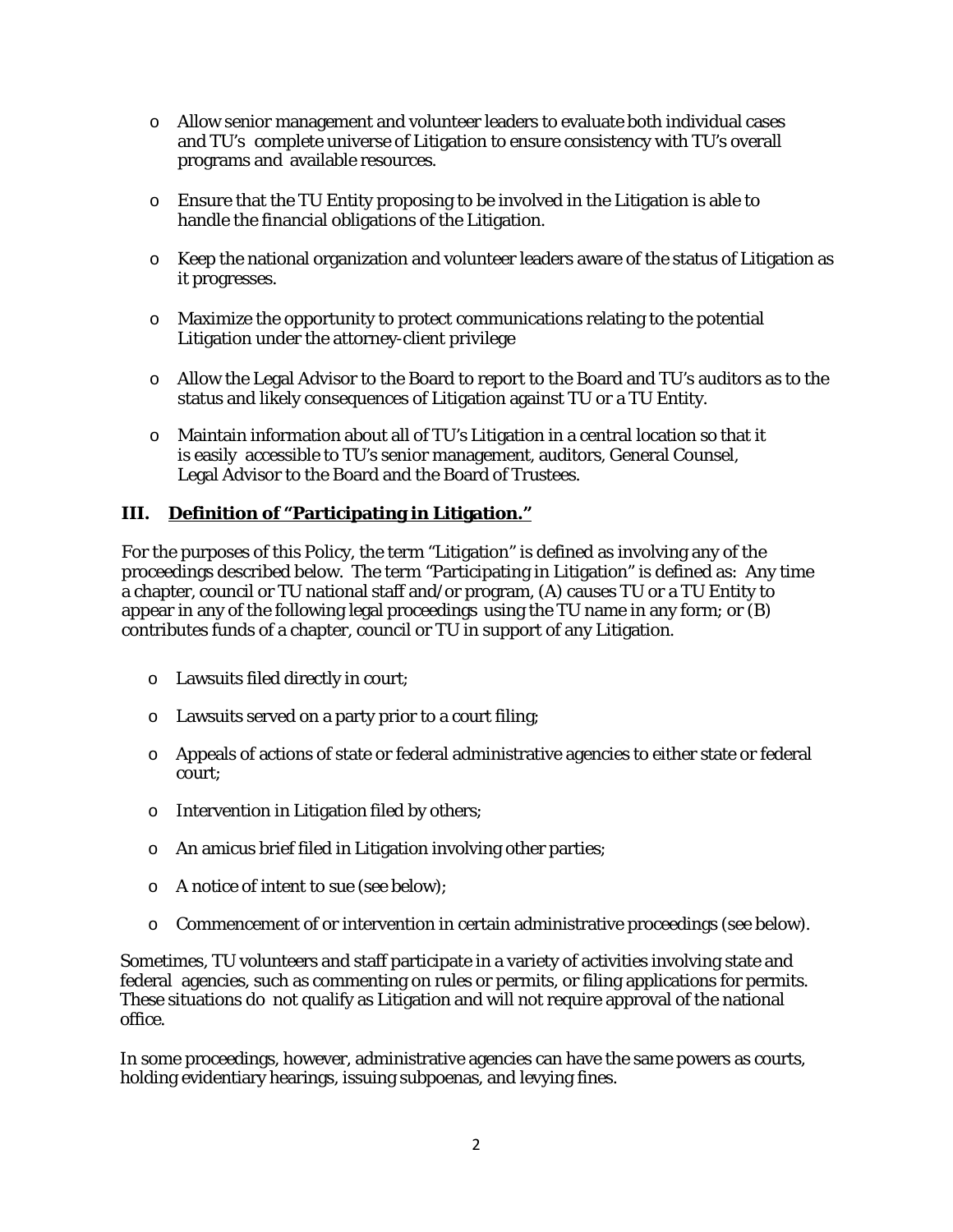- o Allow senior management and volunteer leaders to evaluate both individual cases and TU's complete universe of Litigation to ensure consistency with TU's overall programs and available resources.
- $\circ$  Ensure that the TU Entity proposing to be involved in the Litigation is able to handle the financial obligations of the Litigation.
- o Keep the national organization and volunteer leaders aware of the status of Litigation as it progresses.
- o Maximize the opportunity to protect communications relating to the potential Litigation under the attorney-client privilege
- o Allow the Legal Advisor to the Board to report to the Board and TU's auditors as to the status and likely consequences of Litigation against TU or a TU Entity.
- o Maintain information about all of TU's Litigation in a central location so that it is easily accessible to TU's senior management, auditors, General Counsel, Legal Advisor to the Board and the Board of Trustees.

### **III. Definition of "Participating in Litigation."**

For the purposes of this Policy, the term "Litigation" is defined as involving any of the proceedings described below. The term "Participating in Litigation" is defined as: Any time a chapter, council or TU national staff and/or program, (A) causes TU or a TU Entity to appear in any of the following legal proceedings using the TU name in any form; or (B) contributes funds of a chapter, council or TU in support of any Litigation.

- o Lawsuits filed directly in court;
- o Lawsuits served on a party prior to a court filing;
- o Appeals of actions of state or federal administrative agencies to either state or federal court;
- o Intervention in Litigation filed by others;
- o An amicus brief filed in Litigation involving other parties;
- o A notice of intent to sue (see below);
- o Commencement of or intervention in certain administrative proceedings (see below).

Sometimes, TU volunteers and staff participate in a variety of activities involving state and federal agencies, such as commenting on rules or permits, or filing applications for permits. These situations do not qualify as Litigation and will not require approval of the national office.

In some proceedings, however, administrative agencies can have the same powers as courts, holding evidentiary hearings, issuing subpoenas, and levying fines.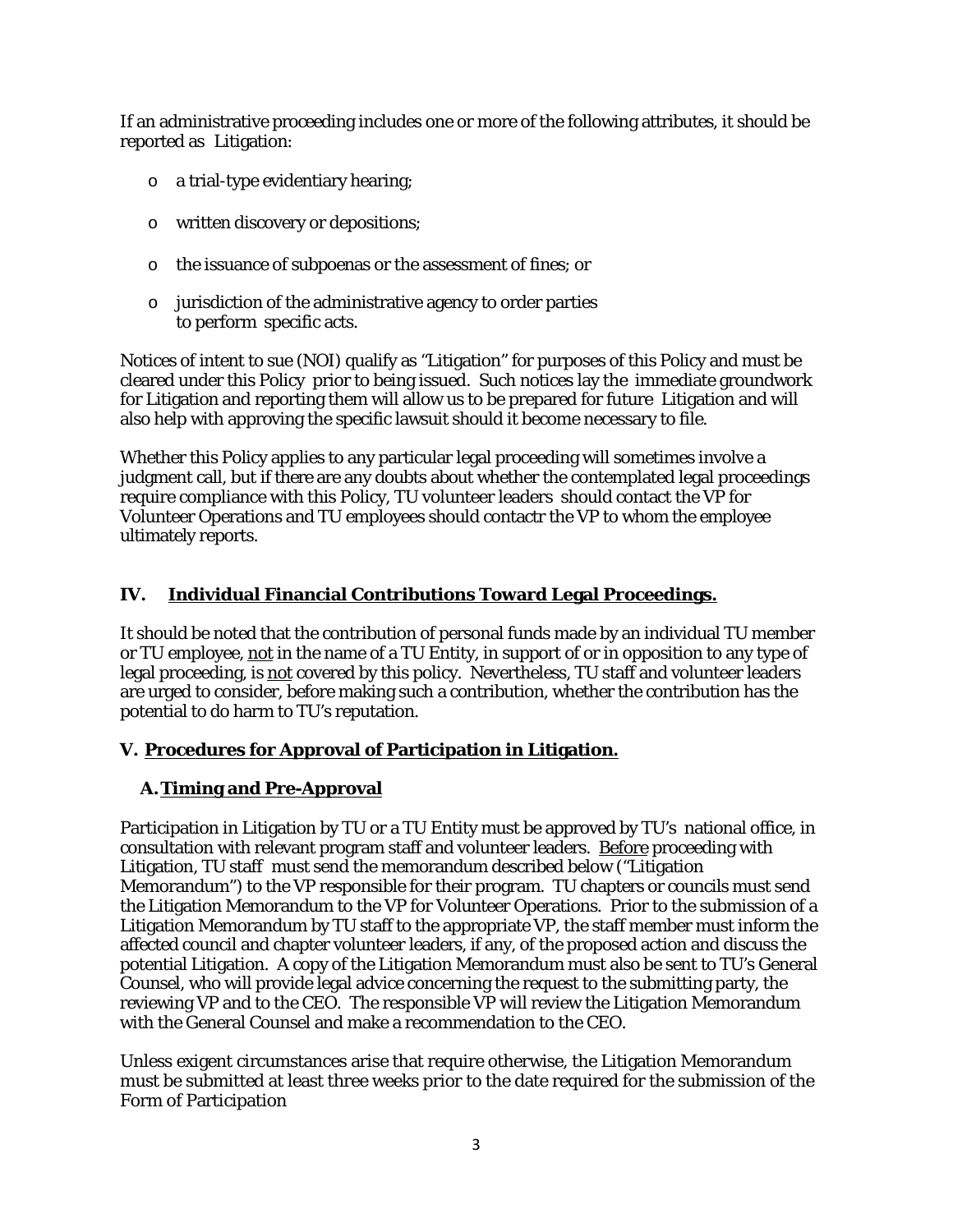If an administrative proceeding includes one or more of the following attributes, it should be reported as Litigation:

- o a trial-type evidentiary hearing;
- o written discovery or depositions;
- o the issuance of subpoenas or the assessment of fines; or
- o jurisdiction of the administrative agency to order parties to perform specific acts.

Notices of intent to sue (NOI) qualify as "Litigation" for purposes of this Policy and must be cleared under this Policy prior to being issued. Such notices lay the immediate groundwork for Litigation and reporting them will allow us to be prepared for future Litigation and will also help with approving the specific lawsuit should it become necessary to file.

Whether this Policy applies to any particular legal proceeding will sometimes involve a judgment call, but if there are any doubts about whether the contemplated legal proceedings require compliance with this Policy, TU volunteer leaders should contact the VP for Volunteer Operations and TU employees should contactr the VP to whom the employee ultimately reports.

# **IV. Individual Financial Contributions Toward Legal Proceedings.**

It should be noted that the contribution of personal funds made by an individual TU member or TU employee, not in the name of a TU Entity, in support of or in opposition to any type of legal proceeding, is not covered by this policy. Nevertheless, TU staff and volunteer leaders are urged to consider, before making such a contribution, whether the contribution has the potential to do harm to TU's reputation.

# **V. Procedures for Approval of Participation in Litigation.**

# **A.Timing and Pre-Approval**

Participation in Litigation by TU or a TU Entity must be approved by TU's national office, in consultation with relevant program staff and volunteer leaders. Before proceeding with Litigation, TU staff must send the memorandum described below ("Litigation Memorandum") to the VP responsible for their program. TU chapters or councils must send the Litigation Memorandum to the VP for Volunteer Operations. Prior to the submission of a Litigation Memorandum by TU staff to the appropriate VP, the staff member must inform the affected council and chapter volunteer leaders, if any, of the proposed action and discuss the potential Litigation. A copy of the Litigation Memorandum must also be sent to TU's General Counsel, who will provide legal advice concerning the request to the submitting party, the reviewing VP and to the CEO. The responsible VP will review the Litigation Memorandum with the General Counsel and make a recommendation to the CEO.

Unless exigent circumstances arise that require otherwise, the Litigation Memorandum must be submitted at least three weeks prior to the date required for the submission of the Form of Participation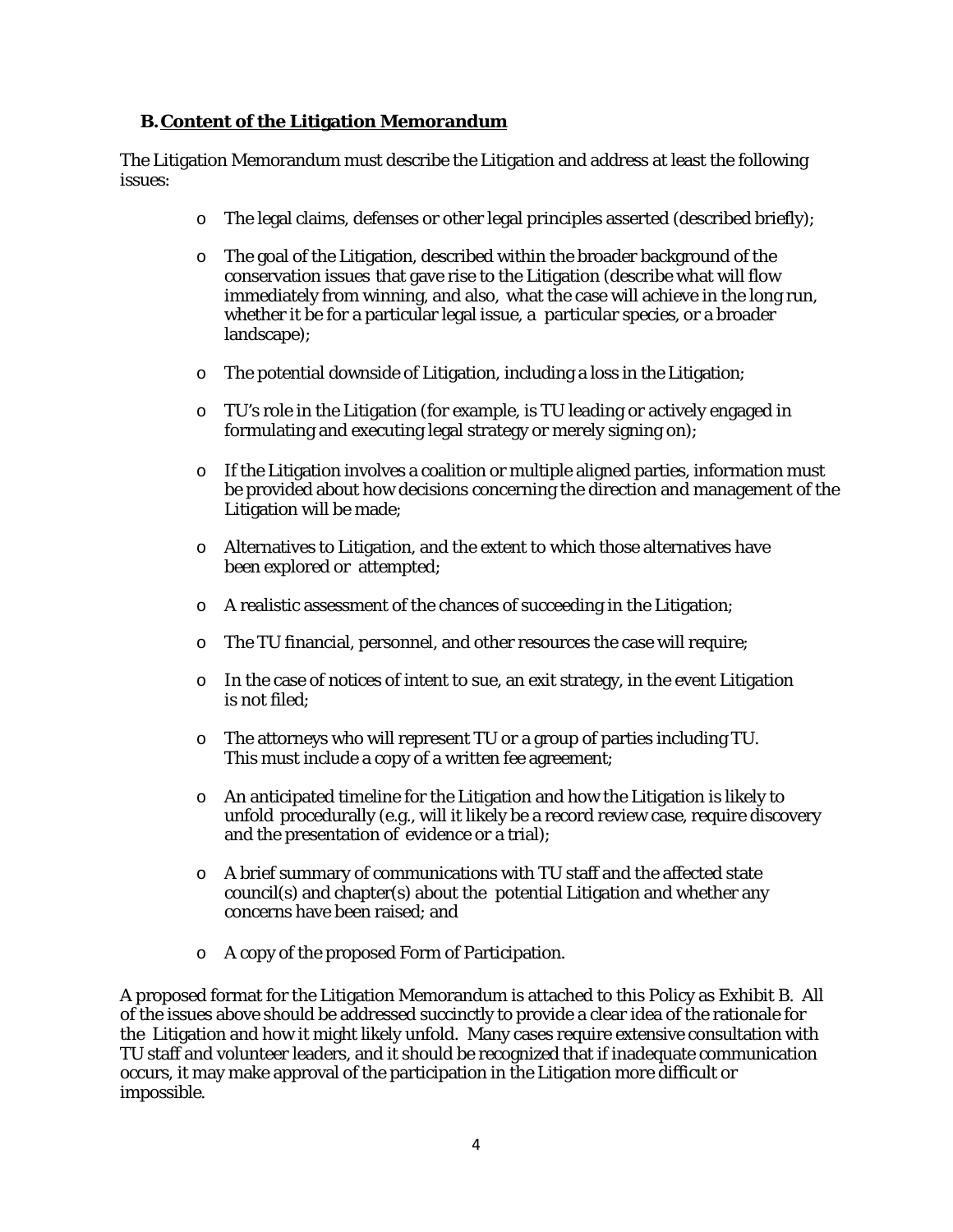### **B.Content of the Litigation Memorandum**

The Litigation Memorandum must describe the Litigation and address at least the following issues:

- o The legal claims, defenses or other legal principles asserted (described briefly);
- o The goal of the Litigation, described within the broader background of the conservation issues that gave rise to the Litigation (describe what will flow immediately from winning, and also, what the case will achieve in the long run, whether it be for a particular legal issue, a particular species, or a broader landscape);
- $\circ$  The potential downside of Litigation, including a loss in the Litigation;
- $\circ$  TU's role in the Litigation (for example, is TU leading or actively engaged in formulating and executing legal strategy or merely signing on);
- o If the Litigation involves a coalition or multiple aligned parties, information must be provided about how decisions concerning the direction and management of the Litigation will be made;
- o Alternatives to Litigation, and the extent to which those alternatives have been explored or attempted;
- o A realistic assessment of the chances of succeeding in the Litigation;
- o The TU financial, personnel, and other resources the case will require;
- $\circ$  In the case of notices of intent to sue, an exit strategy, in the event Litigation is not filed;
- $\circ$  The attorneys who will represent TU or a group of parties including TU. This must include a copy of a written fee agreement;
- $\circ$  An anticipated timeline for the Litigation and how the Litigation is likely to unfold procedurally (e.g., will it likely be a record review case, require discovery and the presentation of evidence or a trial);
- o A brief summary of communications with TU staff and the affected state council(s) and chapter(s) about the potential Litigation and whether any concerns have been raised; and
- o A copy of the proposed Form of Participation.

A proposed format for the Litigation Memorandum is attached to this Policy as Exhibit B. All of the issues above should be addressed succinctly to provide a clear idea of the rationale for the Litigation and how it might likely unfold. Many cases require extensive consultation with TU staff and volunteer leaders, and it should be recognized that if inadequate communication occurs, it may make approval of the participation in the Litigation more difficult or impossible.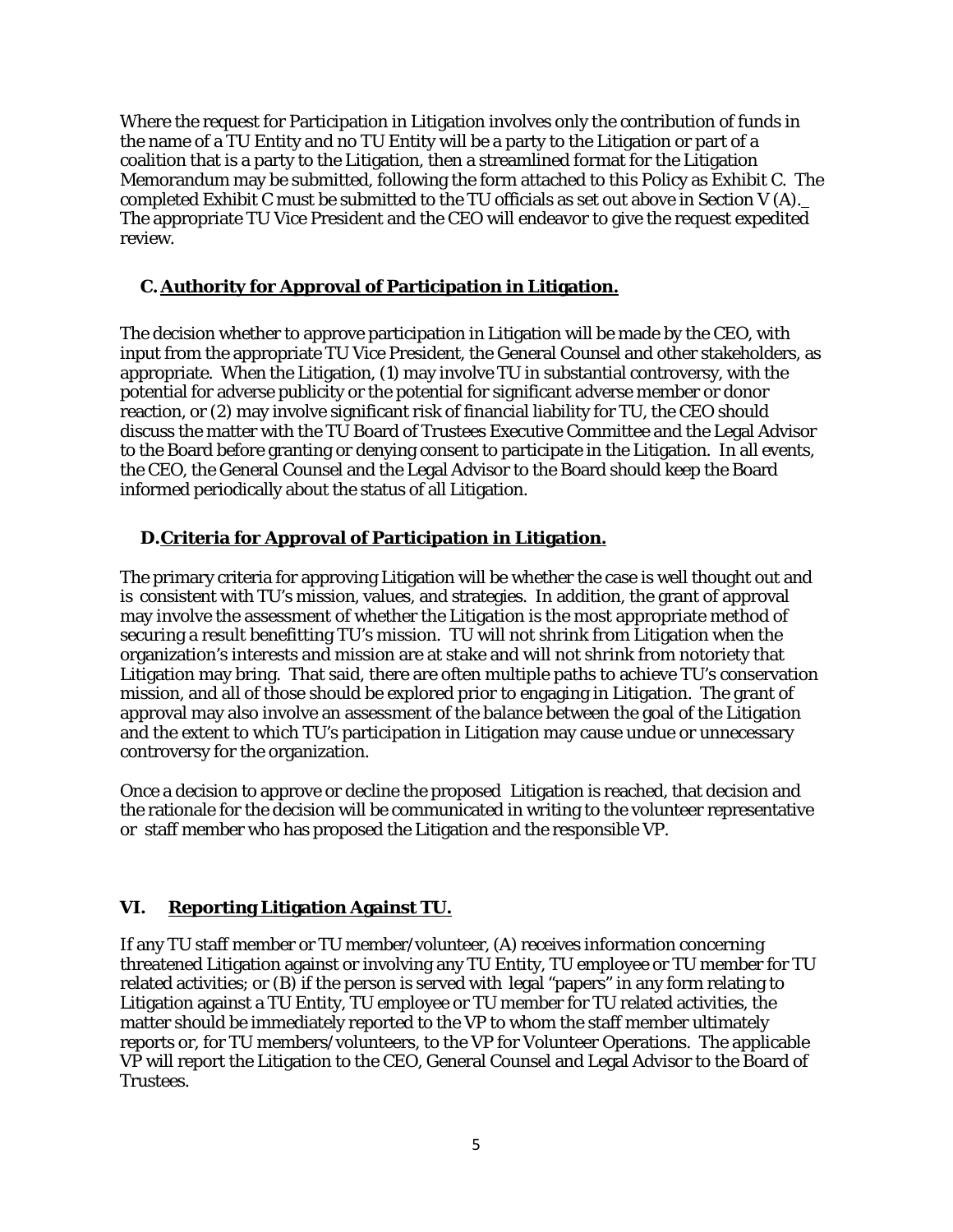Where the request for Participation in Litigation involves only the contribution of funds in the name of a TU Entity and no TU Entity will be a party to the Litigation or part of a coalition that is a party to the Litigation, then a streamlined format for the Litigation Memorandum may be submitted, following the form attached to this Policy as Exhibit C. The completed Exhibit C must be submitted to the TU officials as set out above in Section V (A). The appropriate TU Vice President and the CEO will endeavor to give the request expedited review.

# **C.Authority for Approval of Participation in Litigation.**

The decision whether to approve participation in Litigation will be made by the CEO, with input from the appropriate TU Vice President, the General Counsel and other stakeholders, as appropriate. When the Litigation, (1) may involve TU in substantial controversy, with the potential for adverse publicity or the potential for significant adverse member or donor reaction, or (2) may involve significant risk of financial liability for TU, the CEO should discuss the matter with the TU Board of Trustees Executive Committee and the Legal Advisor to the Board before granting or denying consent to participate in the Litigation. In all events, the CEO, the General Counsel and the Legal Advisor to the Board should keep the Board informed periodically about the status of all Litigation.

# **D.Criteria for Approval of Participation in Litigation.**

The primary criteria for approving Litigation will be whether the case is well thought out and is consistent with TU's mission, values, and strategies. In addition, the grant of approval may involve the assessment of whether the Litigation is the most appropriate method of securing a result benefitting TU's mission. TU will not shrink from Litigation when the organization's interests and mission are at stake and will not shrink from notoriety that Litigation may bring. That said, there are often multiple paths to achieve TU's conservation mission, and all of those should be explored prior to engaging in Litigation. The grant of approval may also involve an assessment of the balance between the goal of the Litigation and the extent to which TU's participation in Litigation may cause undue or unnecessary controversy for the organization.

Once a decision to approve or decline the proposed Litigation is reached, that decision and the rationale for the decision will be communicated in writing to the volunteer representative or staff member who has proposed the Litigation and the responsible VP.

# **VI. Reporting Litigation Against TU.**

If any TU staff member or TU member/volunteer, (A) receives information concerning threatened Litigation against or involving any TU Entity, TU employee or TU member for TU related activities; or (B) if the person is served with legal "papers" in any form relating to Litigation against a TU Entity, TU employee or TU member for TU related activities, the matter should be immediately reported to the VP to whom the staff member ultimately reports or, for TU members/volunteers, to the VP for Volunteer Operations. The applicable VP will report the Litigation to the CEO, General Counsel and Legal Advisor to the Board of Trustees.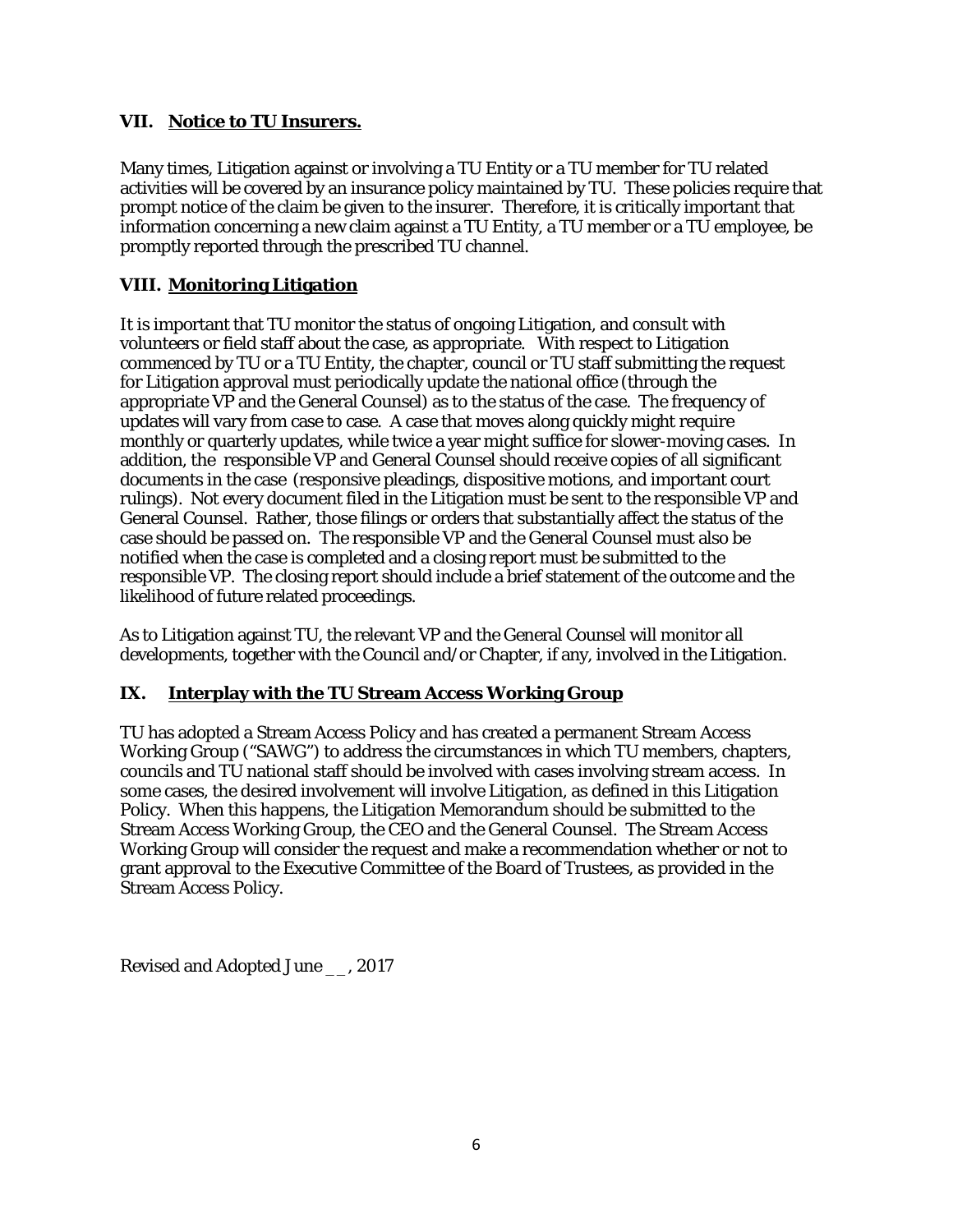### **VII. Notice to TU Insurers.**

Many times, Litigation against or involving a TU Entity or a TU member for TU related activities will be covered by an insurance policy maintained by TU. These policies require that prompt notice of the claim be given to the insurer. Therefore, it is critically important that information concerning a new claim against a TU Entity, a TU member or a TU employee, be promptly reported through the prescribed TU channel.

# **VIII. Monitoring Litigation**

It is important that TU monitor the status of ongoing Litigation, and consult with volunteers or field staff about the case, as appropriate. With respect to Litigation commenced by TU or a TU Entity, the chapter, council or TU staff submitting the request for Litigation approval must periodically update the national office (through the appropriate VP and the General Counsel) as to the status of the case. The frequency of updates will vary from case to case. A case that moves along quickly might require monthly or quarterly updates, while twice a year might suffice for slower-moving cases. In addition, the responsible VP and General Counsel should receive copies of all significant documents in the case (responsive pleadings, dispositive motions, and important court rulings). Not every document filed in the Litigation must be sent to the responsible VP and General Counsel. Rather, those filings or orders that substantially affect the status of the case should be passed on. The responsible VP and the General Counsel must also be notified when the case is completed and a closing report must be submitted to the responsible VP. The closing report should include a brief statement of the outcome and the likelihood of future related proceedings.

As to Litigation against TU, the relevant VP and the General Counsel will monitor all developments, together with the Council and/or Chapter, if any, involved in the Litigation.

# **IX. Interplay with the TU Stream Access Working Group**

TU has adopted a Stream Access Policy and has created a permanent Stream Access Working Group ("SAWG") to address the circumstances in which TU members, chapters, councils and TU national staff should be involved with cases involving stream access. In some cases, the desired involvement will involve Litigation, as defined in this Litigation Policy. When this happens, the Litigation Memorandum should be submitted to the Stream Access Working Group, the CEO and the General Counsel. The Stream Access Working Group will consider the request and make a recommendation whether or not to grant approval to the Executive Committee of the Board of Trustees, as provided in the Stream Access Policy.

Revised and Adopted June \_\_, 2017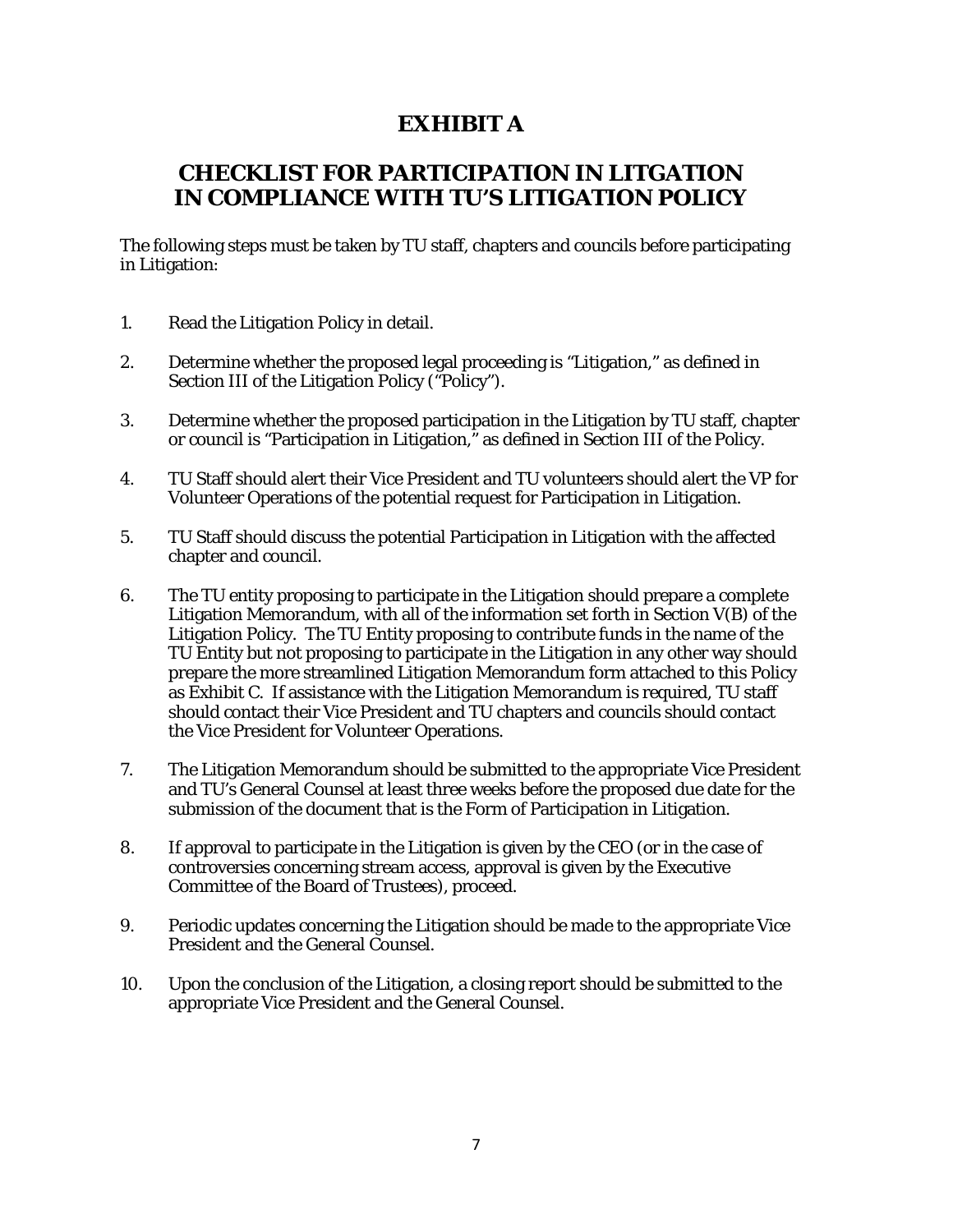# **EXHIBIT A**

# **CHECKLIST FOR PARTICIPATION IN LITGATION IN COMPLIANCE WITH TU'S LITIGATION POLICY**

The following steps must be taken by TU staff, chapters and councils before participating in Litigation:

- 1. Read the Litigation Policy in detail.
- 2. Determine whether the proposed legal proceeding is "Litigation," as defined in Section III of the Litigation Policy ("Policy").
- 3. Determine whether the proposed participation in the Litigation by TU staff, chapter or council is "Participation in Litigation," as defined in Section III of the Policy.
- 4. TU Staff should alert their Vice President and TU volunteers should alert the VP for Volunteer Operations of the potential request for Participation in Litigation.
- 5. TU Staff should discuss the potential Participation in Litigation with the affected chapter and council.
- 6. The TU entity proposing to participate in the Litigation should prepare a complete Litigation Memorandum, with all of the information set forth in Section V(B) of the Litigation Policy. The TU Entity proposing to contribute funds in the name of the TU Entity but not proposing to participate in the Litigation in any other way should prepare the more streamlined Litigation Memorandum form attached to this Policy as Exhibit C. If assistance with the Litigation Memorandum is required, TU staff should contact their Vice President and TU chapters and councils should contact the Vice President for Volunteer Operations.
- 7. The Litigation Memorandum should be submitted to the appropriate Vice President and TU's General Counsel at least three weeks before the proposed due date for the submission of the document that is the Form of Participation in Litigation.
- 8. If approval to participate in the Litigation is given by the CEO (or in the case of controversies concerning stream access, approval is given by the Executive Committee of the Board of Trustees), proceed.
- 9. Periodic updates concerning the Litigation should be made to the appropriate Vice President and the General Counsel.
- 10. Upon the conclusion of the Litigation, a closing report should be submitted to the appropriate Vice President and the General Counsel.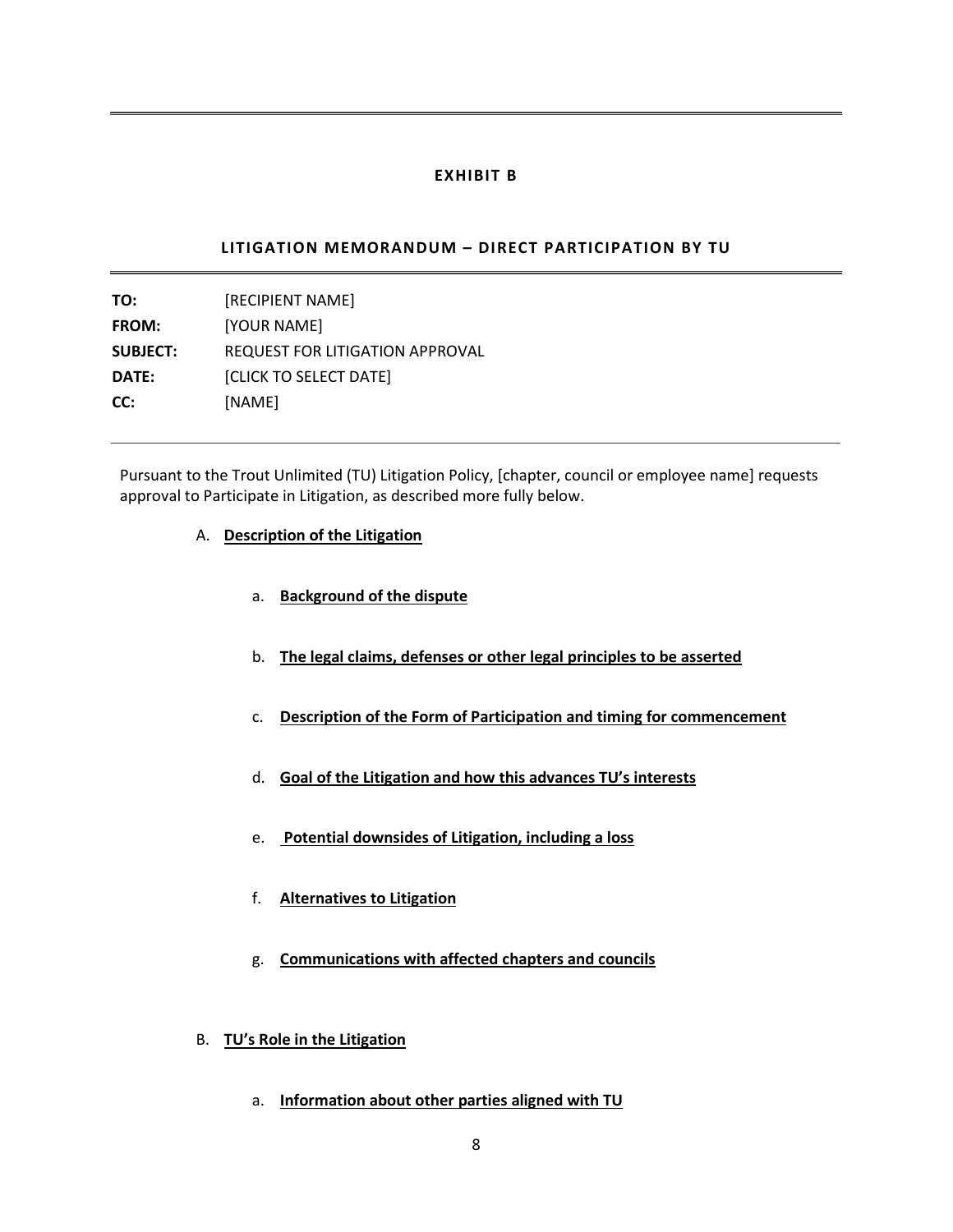#### **EXHIBIT B**

### **LITIGATION MEMORANDUM – DIRECT PARTICIPATION BY TU**

**TO:** [RECIPIENT NAME] **FROM:** [YOUR NAME] **SUBJECT:** REQUEST FOR LITIGATION APPROVAL **DATE:** [CLICK TO SELECT DATE] **CC:** [NAME]

Pursuant to the Trout Unlimited (TU) Litigation Policy, [chapter, council or employee name] requests approval to Participate in Litigation, as described more fully below.

- A. **Description of the Litigation**
	- a. **Background of the dispute**
	- b. **The legal claims, defenses or other legal principles to be asserted**
	- c. **Description of the Form of Participation and timing for commencement**
	- d. **Goal of the Litigation and how this advances TU's interests**
	- e. **Potential downsides of Litigation, including a loss**
	- f. **Alternatives to Litigation**
	- g. **Communications with affected chapters and councils**
- B. **TU's Role in the Litigation**
	- a. **Information about other parties aligned with TU**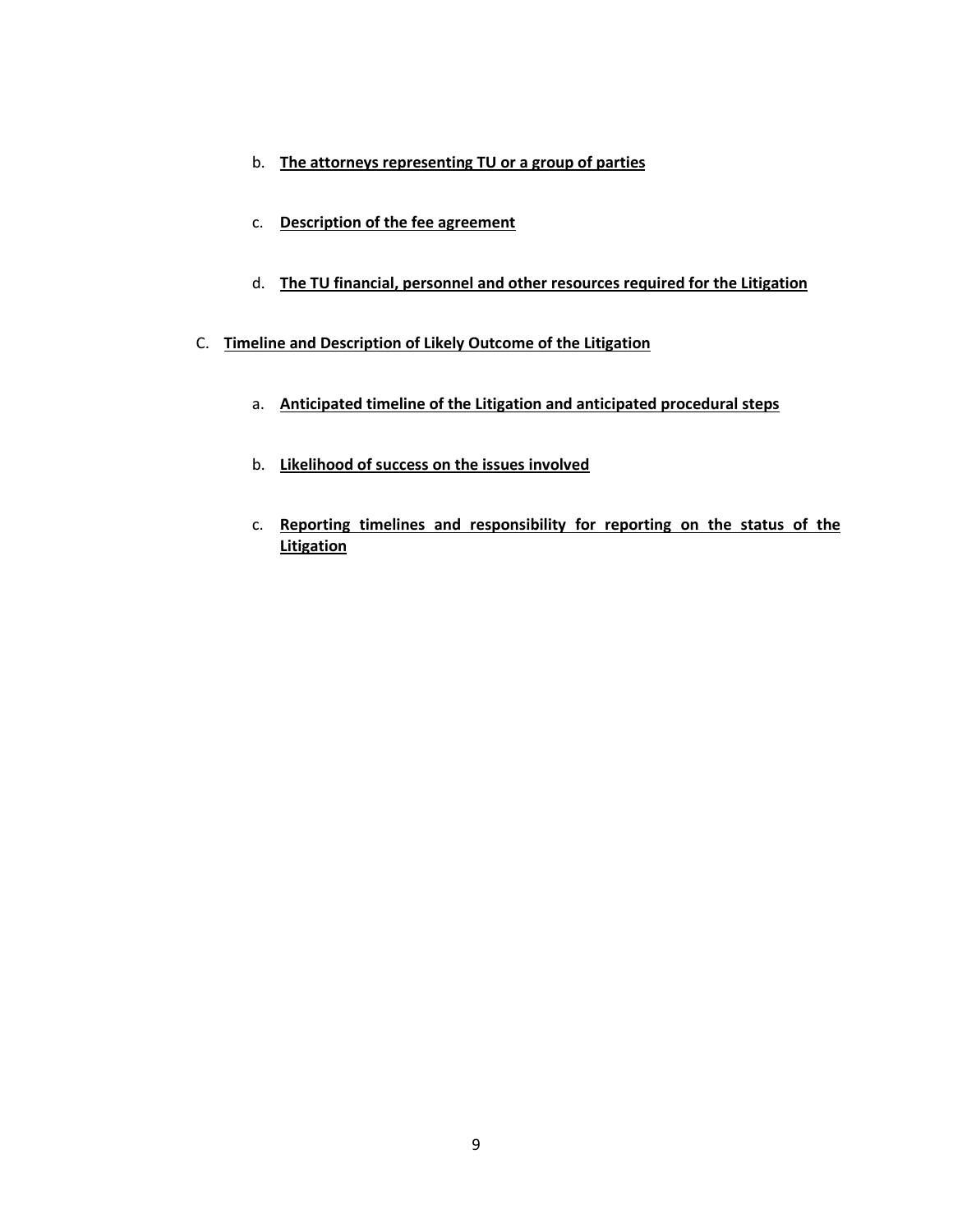- b. **The attorneys representing TU or a group of parties**
- c. **Description of the fee agreement**
- d. **The TU financial, personnel and other resources required for the Litigation**
- C. **Timeline and Description of Likely Outcome of the Litigation**
	- a. **Anticipated timeline of the Litigation and anticipated procedural steps**
	- b. **Likelihood of success on the issues involved**
	- c. **Reporting timelines and responsibility for reporting on the status of the Litigation**